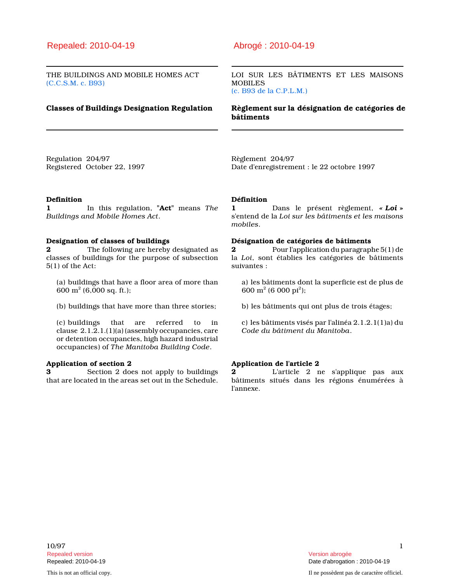# Repealed: 2010-04-19 Abrogé : 2010-04-19

THE BUILDINGS AND MOBILE HOMES ACT (C.C.S.M. c. B93)

LOI SUR LES BÂTIMENTS ET LES MAISONS MOBILES (c. B93 de la C.P.L.M.)

Classes of Buildings Designation Regulation Règlement sur la désignation de catégories de bâtiments

Regulation 204/97 Registered October 22, 1997 Règlement 204/97 Date d'enregistrement : le 22 octobre 1997

### Definition

1 In this regulation, "Act" means The Buildings and Mobile Homes Act.

#### Designation of classes of buildings

2 The following are hereby designated as classes of buildings for the purpose of subsection 5(1) of the Act:

(a) buildings that have a floor area of more than 600  $\text{m}^2$  (6,000 sq. ft.);

(b) buildings that have more than three stories;

(c) buildings that are referred to in clause 2.1.2.1.(1)(a) (assembly occupancies, care or detention occupancies, high hazard industrial occupancies) of The Manitoba Building Code.

# Application of section 2

3 Section 2 does not apply to buildings that are located in the areas set out in the Schedule.

#### Définition

1 Dans le présent règlement, « Loi » s'entend de la Loi sur les bâtiments et les maisons mobiles.

### Désignation de catégories de bâtiments

2 Pour l'application du paragraphe 5(1) de la Loi, sont établies les catégories de bâtiments suivantes :

a) les bâtiments dont la superficie est de plus de  $600 \text{ m}^2 (6 000 \text{ pi}^2);$ 

b) les bâtiments qui ont plus de trois étages;

c) les bâtiments visés par l'alinéa 2.1.2.1(1)a) du Code du bâtiment du Manitoba.

### Application de l'article 2

2 L'article 2 ne s'applique pas aux bâtiments situés dans les régions énumérées à l'annexe.

 $10/97$  1 Repealed version Version abrogée

This is not an official copy. Il ne possèdent pas de caractère officiel.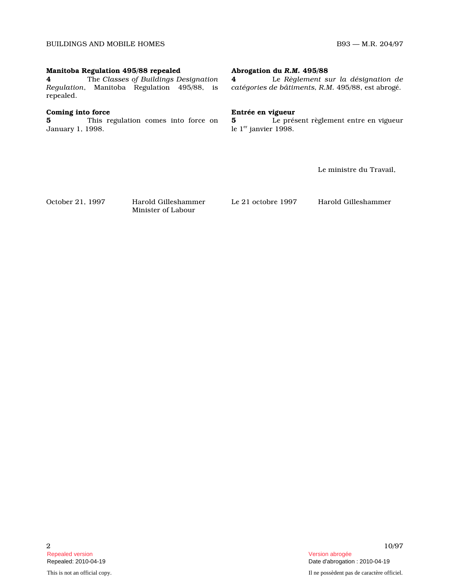# Manitoba Regulation 495/88 repealed

4 The Classes of Buildings Designation Regulation, Manitoba Regulation 495/88, is repealed.

# Coming into force

**5** This regulation comes into force on January 1, 1998.

# Abrogation du R.M. 495/88

4 Le Règlement sur la désignation de catégories de bâtiments, R.M. 495/88, est abrogé.

# Entrée en vigueur

5 Le présent règlement entre en vigueur le  $1<sup>er</sup>$  janvier 1998.

Le ministre du Travail,

October 21, 1997 Harold Gilleshammer Minister of Labour

Le 21 octobre 1997 Harold Gilleshammer